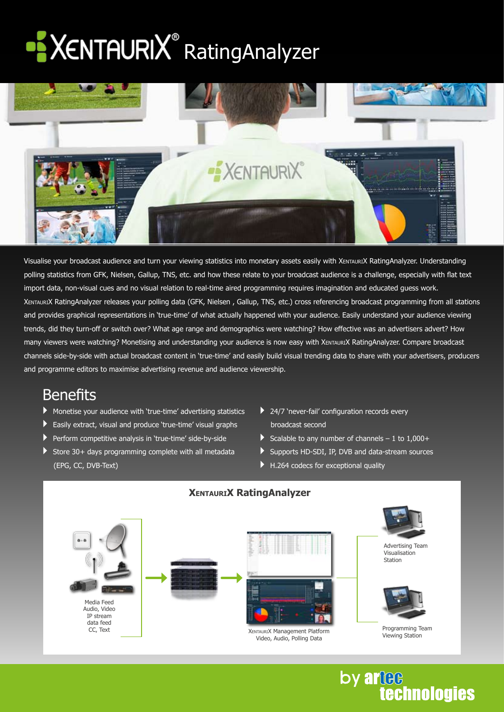# XENTAURIX<sup>®</sup> RatingAnalyzer



Visualise your broadcast audience and turn your viewing statistics into monetary assets easily with XentauriX RatingAnalyzer. Understanding polling statistics from GFK, Nielsen, Gallup, TNS, etc. and how these relate to your broadcast audience is a challenge, especially with flat text import data, non-visual cues and no visual relation to real-time aired programming requires imagination and educated guess work. XentauriX RatingAnalyzer releases your polling data (GFK, Nielsen , Gallup, TNS, etc.) cross referencing broadcast programming from all stations and provides graphical representations in 'true-time' of what actually happened with your audience. Easily understand your audience viewing trends, did they turn-off or switch over? What age range and demographics were watching? How effective was an advertisers advert? How many viewers were watching? Monetising and understanding your audience is now easy with XENTAURIX RatingAnalyzer. Compare broadcast channels side-by-side with actual broadcast content in 'true-time' and easily build visual trending data to share with your advertisers, producers and programme editors to maximise advertising revenue and audience viewership.

#### **Benefits**

- ` Monetise your audience with 'true-time' advertising statistics
- $\blacktriangleright$  Easily extract, visual and produce 'true-time' visual graphs
- ` Perform competitive analysis in 'true-time' side-by-side
- $\blacktriangleright$  Store 30+ days programming complete with all metadata (EPG, CC, DVB-Text)
- $\blacktriangleright$  24/7 'never-fail' configuration records every broadcast second
- $\triangleright$  Scalable to any number of channels 1 to 1,000+
- Supports HD-SDI, IP, DVB and data-stream sources

by artee

**technologies** 

` H.264 codecs for exceptional quality



#### **XentauriX RatingAnalyzer**